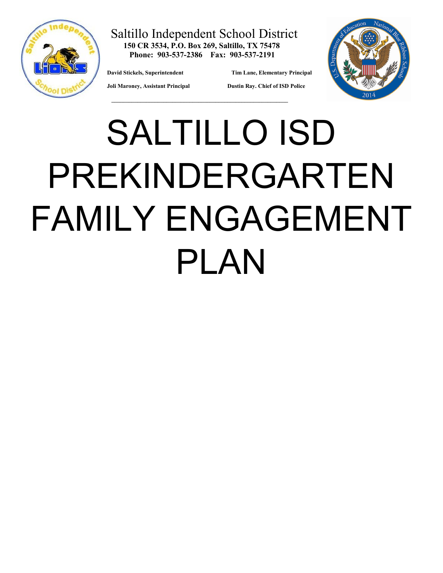

#### Saltillo Independent School District **150 CR 3534, P.O. Box 269, Saltillo, TX 75478 Phone: 903-537-2386 Fax: 903-537-2191**

**David Stickels, Superintendent Tim Lane, Elementary Principal** 



 **Joli Maroney, Assistant Principal Dustin Ray. Chief of ISD Police** 

# SALTILLO ISD PREKINDERGARTEN FAMILY ENGAGEMENT PLAN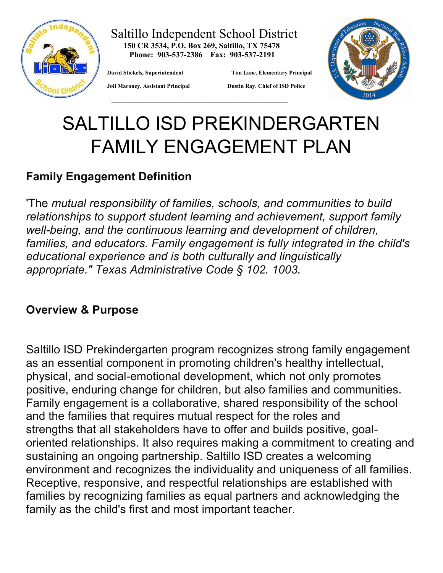

#### Saltillo Independent School District **150 CR 3534, P.O. Box 269, Saltillo, TX 75478 Phone: 903-537-2386 Fax: 903-537-2191**

**David Stickels, Superintendent Tim Lane, Elementary Principal** 



 **Joli Maroney, Assistant Principal Dustin Ray. Chief of ISD Police** 

# SALTILLO ISD PREKINDERGARTEN FAMILY ENGAGEMENT PLAN

# **Family Engagement Definition**

'The *mutual responsibility of families, schools, and communities to build relationships to support student learning and achievement, support family well-being, and the continuous learning and development of children, families, and educators. Family engagement is fully integrated in the child's educational experience and is both culturally and linguistically appropriate." Texas Administrative Code § 102. 1003.*

# **Overview & Purpose**

Saltillo ISD Prekindergarten program recognizes strong family engagement as an essential component in promoting children's healthy intellectual, physical, and social-emotional development, which not only promotes positive, enduring change for children, but also families and communities. Family engagement is a collaborative, shared responsibility of the school and the families that requires mutual respect for the roles and strengths that all stakeholders have to offer and builds positive, goaloriented relationships. It also requires making a commitment to creating and sustaining an ongoing partnership. Saltillo ISD creates a welcoming environment and recognizes the individuality and uniqueness of all families. Receptive, responsive, and respectful relationships are established with families by recognizing families as equal partners and acknowledging the family as the child's first and most important teacher.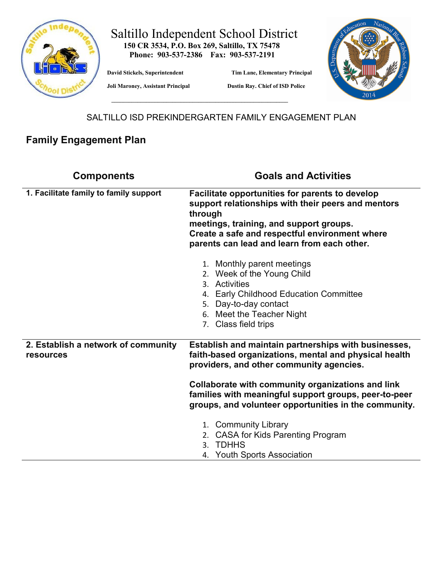

# Saltillo Independent School District  **150 CR 3534, P.O. Box 269, Saltillo, TX 75478**

 **Phone: 903-537-2386 Fax: 903-537-2191** 

 **\_\_\_\_\_\_\_\_\_\_\_\_\_\_\_\_\_\_\_\_\_\_\_\_\_\_\_\_\_\_\_\_\_\_\_\_\_\_\_\_\_\_\_\_\_\_\_\_\_\_\_\_\_\_\_\_\_\_\_\_\_**

**David Stickels, Superintendent Tim Lane, Elementary Principal** 



 **Joli Maroney, Assistant Principal Dustin Ray. Chief of ISD Police** 

SALTILLO ISD PREKINDERGARTEN FAMILY ENGAGEMENT PLAN

### **Family Engagement Plan**

| <b>Components</b>                                       | <b>Goals and Activities</b>                                                                                                                                                                                                                                  |
|---------------------------------------------------------|--------------------------------------------------------------------------------------------------------------------------------------------------------------------------------------------------------------------------------------------------------------|
| 1. Facilitate family to family support                  | Facilitate opportunities for parents to develop<br>support relationships with their peers and mentors<br>through<br>meetings, training, and support groups.<br>Create a safe and respectful environment where<br>parents can lead and learn from each other. |
|                                                         | 1. Monthly parent meetings<br>2. Week of the Young Child<br>3. Activities<br><b>Early Childhood Education Committee</b><br>4.<br>5. Day-to-day contact<br>6. Meet the Teacher Night<br>7. Class field trips                                                  |
| 2. Establish a network of community<br><b>resources</b> | Establish and maintain partnerships with businesses,<br>faith-based organizations, mental and physical health<br>providers, and other community agencies.                                                                                                    |
|                                                         | Collaborate with community organizations and link<br>families with meaningful support groups, peer-to-peer<br>groups, and volunteer opportunities in the community.                                                                                          |
|                                                         | 1. Community Library<br>2. CASA for Kids Parenting Program<br><b>TDHHS</b><br>3.<br><b>Youth Sports Association</b><br>4.                                                                                                                                    |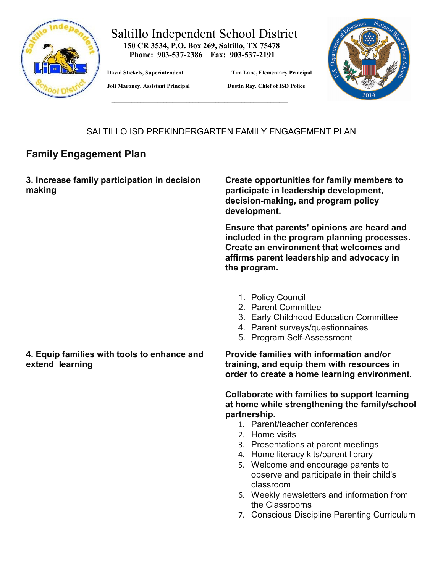

#### Saltillo Independent School District  **150 CR 3534, P.O. Box 269, Saltillo, TX 75478**

 **Phone: 903-537-2386 Fax: 903-537-2191** 

 **\_\_\_\_\_\_\_\_\_\_\_\_\_\_\_\_\_\_\_\_\_\_\_\_\_\_\_\_\_\_\_\_\_\_\_\_\_\_\_\_\_\_\_\_\_\_\_\_\_\_\_\_\_\_\_\_\_\_\_\_\_**

**David Stickels, Superintendent Tim Lane, Elementary Principal** 



 **Joli Maroney, Assistant Principal Dustin Ray. Chief of ISD Police** 

#### SALTILLO ISD PREKINDERGARTEN FAMILY ENGAGEMENT PLAN

#### **Family Engagement Plan**

| 3. Increase family participation in decision<br>making         | Create opportunities for family members to<br>participate in leadership development,<br>decision-making, and program policy<br>development.                                                        |
|----------------------------------------------------------------|----------------------------------------------------------------------------------------------------------------------------------------------------------------------------------------------------|
|                                                                | Ensure that parents' opinions are heard and<br>included in the program planning processes.<br>Create an environment that welcomes and<br>affirms parent leadership and advocacy in<br>the program. |
|                                                                | 1. Policy Council<br>2. Parent Committee<br>3. Early Childhood Education Committee<br>4. Parent surveys/questionnaires<br>5. Program Self-Assessment                                               |
| 4. Equip families with tools to enhance and<br>extend learning | Provide families with information and/or<br>training, and equip them with resources in<br>order to create a home learning environment.                                                             |
|                                                                | <b>Collaborate with families to support learning</b><br>at home while strengthening the family/school                                                                                              |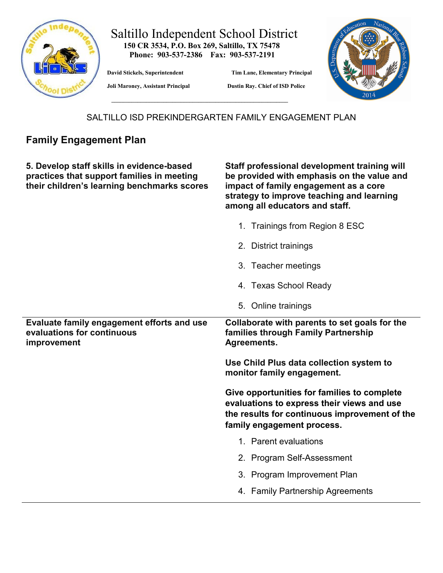

#### Saltillo Independent School District **150 CR 3534, P.O. Box 269, Saltillo, TX 75478 Phone: 903-537-2386 Fax: 903-537-2191**

**David Stickels, Superintendent Tim Lane, Elementary Principal** 



 **Joli Maroney, Assistant Principal Dustin Ray. Chief of ISD Police** 

SALTILLO ISD PREKINDERGARTEN FAMILY ENGAGEMENT PLAN

## **Family Engagement Plan**

**5. Develop staff skills in evidence-based practices that support families in meeting their children's learning benchmarks scores**

**Staff professional development training will be provided with emphasis on the value and impact of family engagement as a core strategy to improve teaching and learning among all educators and staff.**

|                                                                                         | 1. Trainings from Region 8 ESC                                                                                                                                           |
|-----------------------------------------------------------------------------------------|--------------------------------------------------------------------------------------------------------------------------------------------------------------------------|
|                                                                                         | 2. District trainings                                                                                                                                                    |
|                                                                                         | 3. Teacher meetings                                                                                                                                                      |
|                                                                                         | 4. Texas School Ready                                                                                                                                                    |
|                                                                                         | 5. Online trainings                                                                                                                                                      |
| Evaluate family engagement efforts and use<br>evaluations for continuous<br>improvement | Collaborate with parents to set goals for the<br>families through Family Partnership<br>Agreements.                                                                      |
|                                                                                         | Use Child Plus data collection system to                                                                                                                                 |
|                                                                                         | monitor family engagement.                                                                                                                                               |
|                                                                                         | Give opportunities for families to complete<br>evaluations to express their views and use<br>the results for continuous improvement of the<br>family engagement process. |
|                                                                                         | 1. Parent evaluations                                                                                                                                                    |
|                                                                                         | 2. Program Self-Assessment                                                                                                                                               |
|                                                                                         | 3. Program Improvement Plan                                                                                                                                              |